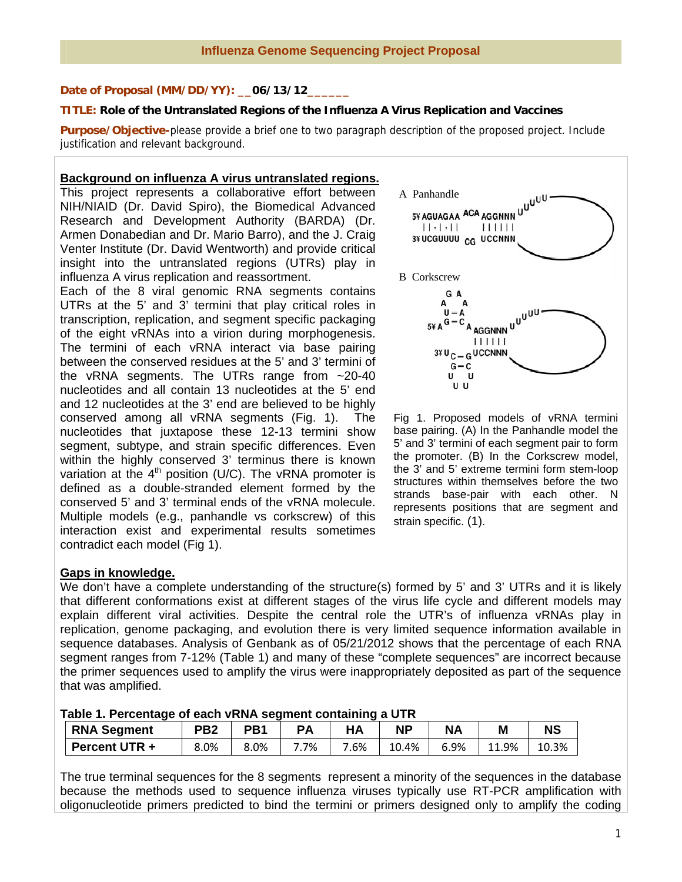### Date of Proposal (MM/DD/YY): \_\_06/13/12\_

## **TITLE: Role of the Untranslated Regions of the Influenza A Virus Replication and Vaccines**

**Purpose/Objective-**please provide a brief one to two paragraph description of the proposed project. Include justification and relevant background.

#### **Background on influenza A virus untranslated regions.**

This project represents a collaborative effort between NIH/NIAID (Dr. David Spiro), the Biomedical Advanced Research and Development Authority (BARDA) (Dr. Armen Donabedian and Dr. Mario Barro), and the J. Craig Venter Institute (Dr. David Wentworth) and provide critical insight into the untranslated regions (UTRs) play in influenza A virus replication and reassortment.

Each of the 8 viral genomic RNA segments contains UTRs at the 5' and 3' termini that play critical roles in transcription, replication, and segment specific packaging of the eight vRNAs into a virion during morphogenesis. The termini of each vRNA interact via base pairing between the conserved residues at the 5' and 3' termini of the vRNA segments. The UTRs range from ~20-40 nucleotides and all contain 13 nucleotides at the 5' end and 12 nucleotides at the 3' end are believed to be highly conserved among all vRNA segments (Fig. 1). The nucleotides that juxtapose these 12-13 termini show segment, subtype, and strain specific differences. Even within the highly conserved 3' terminus there is known variation at the  $4<sup>th</sup>$  position (U/C). The vRNA promoter is defined as a double-stranded element formed by the conserved 5' and 3' terminal ends of the vRNA molecule. Multiple models (e.g., panhandle vs corkscrew) of this interaction exist and experimental results sometimes contradict each model (Fig 1).



Fig 1. Proposed models of vRNA termini base pairing. (A) In the Panhandle model the 5' and 3' termini of each segment pair to form the promoter. (B) In the Corkscrew model, the 3' and 5' extreme termini form stem-loop structures within themselves before the two strands base-pair with each other. N represents positions that are segment and strain specific. (1).

### **Gaps in knowledge.**

We don't have a complete understanding of the structure(s) formed by 5' and 3' UTRs and it is likely that different conformations exist at different stages of the virus life cycle and different models may explain different viral activities. Despite the central role the UTR's of influenza vRNAs play in replication, genome packaging, and evolution there is very limited sequence information available in sequence databases. Analysis of Genbank as of 05/21/2012 shows that the percentage of each RNA segment ranges from 7-12% (Table 1) and many of these "complete sequences" are incorrect because the primer sequences used to amplify the virus were inappropriately deposited as part of the sequence that was amplified.

|  |  |  |  | Table 1. Percentage of each vRNA segment containing a UTR |
|--|--|--|--|-----------------------------------------------------------|
|--|--|--|--|-----------------------------------------------------------|

| <b>RNA Segment</b>   | PB2  | PB1  |    |        | ΝP    | <b>NA</b> | M     | NS    |
|----------------------|------|------|----|--------|-------|-----------|-------|-------|
| <b>Percent UTR +</b> | 8.0% | 8.0% | 7% | $.6\%$ | 10.4% | 6.9%      | 11.9% | 10.3% |

The true terminal sequences for the 8 segments represent a minority of the sequences in the database because the methods used to sequence influenza viruses typically use RT-PCR amplification with oligonucleotide primers predicted to bind the termini or primers designed only to amplify the coding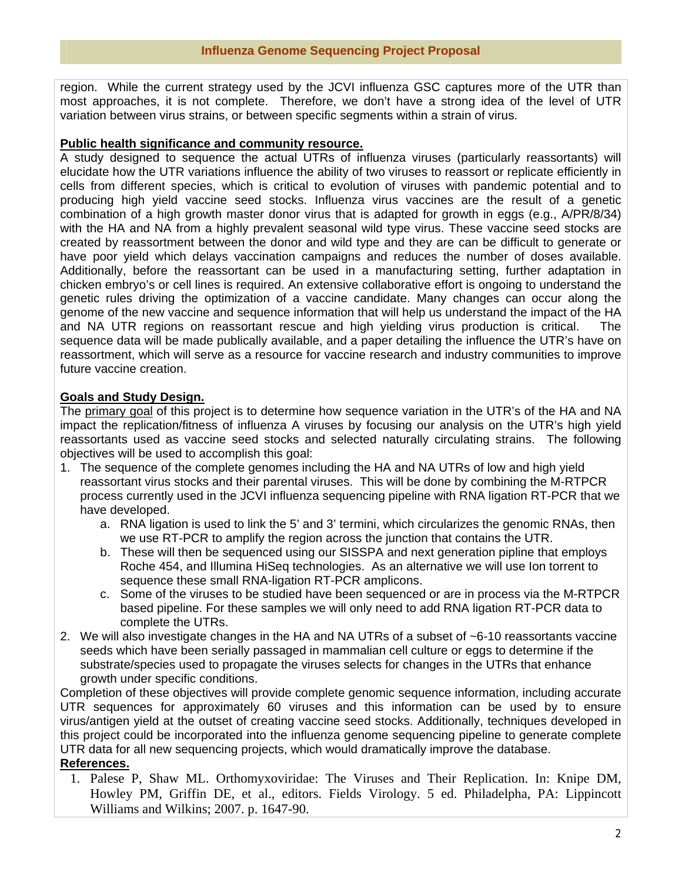region. While the current strategy used by the JCVI influenza GSC captures more of the UTR than most approaches, it is not complete. Therefore, we don't have a strong idea of the level of UTR variation between virus strains, or between specific segments within a strain of virus.

## **Public health significance and community resource.**

A study designed to sequence the actual UTRs of influenza viruses (particularly reassortants) will elucidate how the UTR variations influence the ability of two viruses to reassort or replicate efficiently in cells from different species, which is critical to evolution of viruses with pandemic potential and to producing high yield vaccine seed stocks. Influenza virus vaccines are the result of a genetic combination of a high growth master donor virus that is adapted for growth in eggs (e.g., A/PR/8/34) with the HA and NA from a highly prevalent seasonal wild type virus. These vaccine seed stocks are created by reassortment between the donor and wild type and they are can be difficult to generate or have poor yield which delays vaccination campaigns and reduces the number of doses available. Additionally, before the reassortant can be used in a manufacturing setting, further adaptation in chicken embryo's or cell lines is required. An extensive collaborative effort is ongoing to understand the genetic rules driving the optimization of a vaccine candidate. Many changes can occur along the genome of the new vaccine and sequence information that will help us understand the impact of the HA and NA UTR regions on reassortant rescue and high yielding virus production is critical. The sequence data will be made publically available, and a paper detailing the influence the UTR's have on reassortment, which will serve as a resource for vaccine research and industry communities to improve future vaccine creation.

# **Goals and Study Design.**

The primary goal of this project is to determine how sequence variation in the UTR's of the HA and NA impact the replication/fitness of influenza A viruses by focusing our analysis on the UTR's high yield reassortants used as vaccine seed stocks and selected naturally circulating strains. The following objectives will be used to accomplish this goal:

- 1. The sequence of the complete genomes including the HA and NA UTRs of low and high yield reassortant virus stocks and their parental viruses. This will be done by combining the M-RTPCR process currently used in the JCVI influenza sequencing pipeline with RNA ligation RT-PCR that we have developed.
	- a. RNA ligation is used to link the 5' and 3' termini, which circularizes the genomic RNAs, then we use RT-PCR to amplify the region across the junction that contains the UTR.
	- b. These will then be sequenced using our SISSPA and next generation pipline that employs Roche 454, and Illumina HiSeq technologies. As an alternative we will use Ion torrent to sequence these small RNA-ligation RT-PCR amplicons.
	- c. Some of the viruses to be studied have been sequenced or are in process via the M-RTPCR based pipeline. For these samples we will only need to add RNA ligation RT-PCR data to complete the UTRs.
- 2. We will also investigate changes in the HA and NA UTRs of a subset of ~6-10 reassortants vaccine seeds which have been serially passaged in mammalian cell culture or eggs to determine if the substrate/species used to propagate the viruses selects for changes in the UTRs that enhance growth under specific conditions.

Completion of these objectives will provide complete genomic sequence information, including accurate UTR sequences for approximately 60 viruses and this information can be used by to ensure virus/antigen yield at the outset of creating vaccine seed stocks. Additionally, techniques developed in this project could be incorporated into the influenza genome sequencing pipeline to generate complete UTR data for all new sequencing projects, which would dramatically improve the database.

# **References.**

 1. Palese P, Shaw ML. Orthomyxoviridae: The Viruses and Their Replication. In: Knipe DM, Howley PM, Griffin DE, et al., editors. Fields Virology. 5 ed. Philadelpha, PA: Lippincott Williams and Wilkins; 2007. p. 1647-90.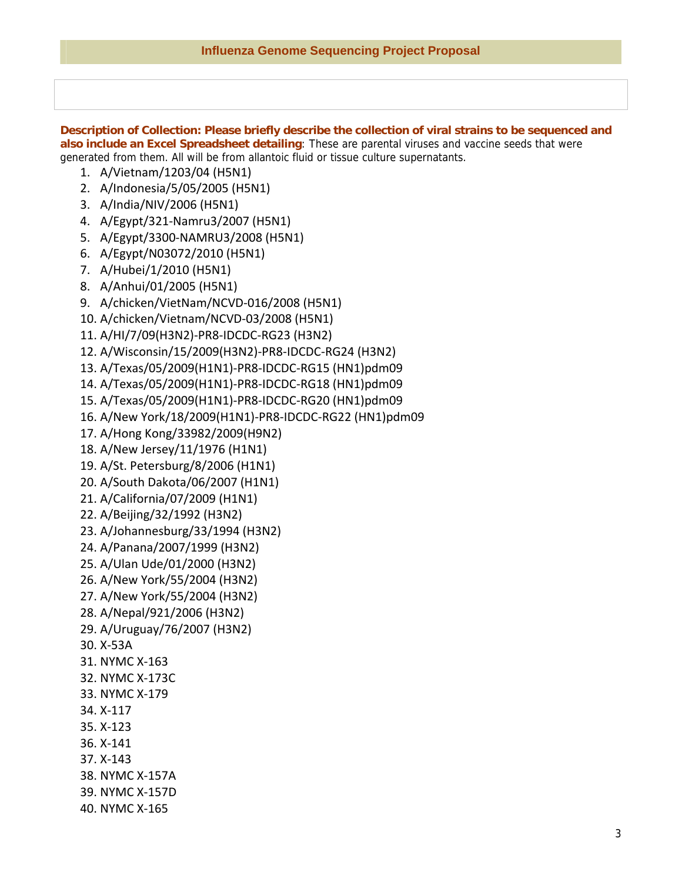**Description of Collection: Please briefly describe the collection of viral strains to be sequenced and also include an Excel Spreadsheet detailing**: These are parental viruses and vaccine seeds that were generated from them. All will be from allantoic fluid or tissue culture supernatants.

- 1. A/Vietnam/1203/04 (H5N1)
- 2. A/Indonesia/5/05/2005 (H5N1)
- 3. A/India/NIV/2006 (H5N1)
- 4. A/Egypt/321‐Namru3/2007 (H5N1)
- 5. A/Egypt/3300‐NAMRU3/2008 (H5N1)
- 6. A/Egypt/N03072/2010 (H5N1)
- 7. A/Hubei/1/2010 (H5N1)
- 8. A/Anhui/01/2005 (H5N1)
- 9. A/chicken/VietNam/NCVD‐016/2008 (H5N1)
- 10. A/chicken/Vietnam/NCVD‐03/2008 (H5N1)
- 11. A/HI/7/09(H3N2)‐PR8‐IDCDC‐RG23 (H3N2)
- 12. A/Wisconsin/15/2009(H3N2)‐PR8‐IDCDC‐RG24 (H3N2)
- 13. A/Texas/05/2009(H1N1)‐PR8‐IDCDC‐RG15 (HN1)pdm09
- 14. A/Texas/05/2009(H1N1)‐PR8‐IDCDC‐RG18 (HN1)pdm09
- 15. A/Texas/05/2009(H1N1)‐PR8‐IDCDC‐RG20 (HN1)pdm09
- 16. A/New York/18/2009(H1N1)‐PR8‐IDCDC‐RG22 (HN1)pdm09
- 17. A/Hong Kong/33982/2009(H9N2)
- 18. A/New Jersey/11/1976 (H1N1)
- 19. A/St. Petersburg/8/2006 (H1N1)
- 20. A/South Dakota/06/2007 (H1N1)
- 21. A/California/07/2009 (H1N1)
- 22. A/Beijing/32/1992 (H3N2)
- 23. A/Johannesburg/33/1994 (H3N2)
- 24. A/Panana/2007/1999 (H3N2)
- 25. A/Ulan Ude/01/2000 (H3N2)
- 26. A/New York/55/2004 (H3N2)
- 27. A/New York/55/2004 (H3N2)
- 28. A/Nepal/921/2006 (H3N2)
- 29. A/Uruguay/76/2007 (H3N2)
- 30. X‐53A
- 31. NYMC X‐163
- 32. NYMC X‐173C
- 33. NYMC X‐179
- 34. X‐117
- 35. X‐123
- 36. X‐141
- 37. X‐143
- 38. NYMC X‐157A
- 39. NYMC X‐157D
- 40. NYMC X‐165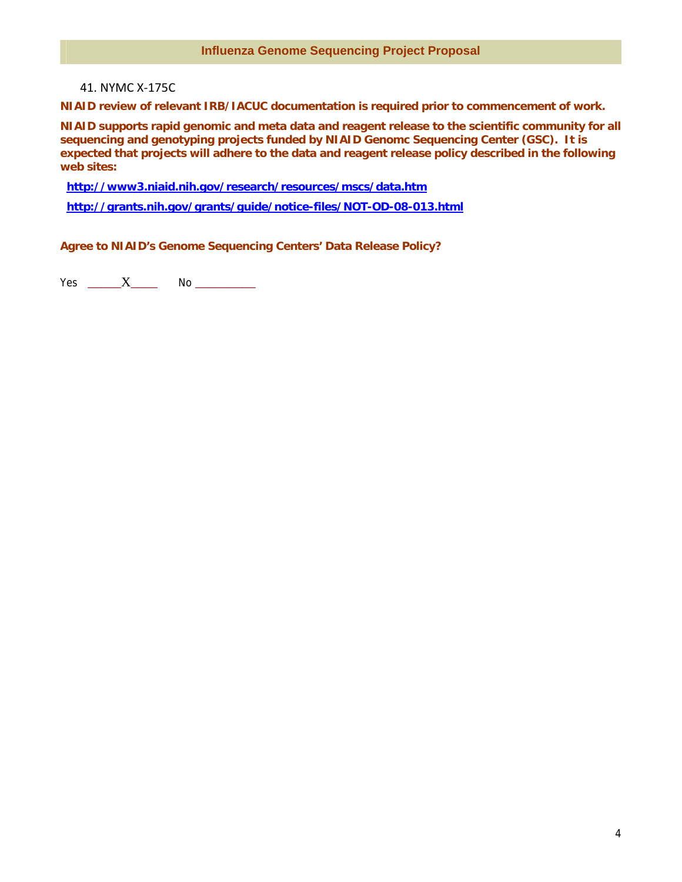### 41. NYMC X‐175C

**NIAID review of relevant IRB/IACUC documentation is required prior to commencement of work.** 

**NIAID supports rapid genomic and meta data and reagent release to the scientific community for all sequencing and genotyping projects funded by NIAID Genomc Sequencing Center (GSC). It is expected that projects will adhere to the data and reagent release policy described in the following web sites:** 

 **http://www3.niaid.nih.gov/research/resources/mscs/data.htm**

 **http://grants.nih.gov/grants/guide/notice-files/NOT-OD-08-013.html**

**Agree to NIAID's Genome Sequencing Centers' Data Release Policy?** 

 $Yes$   $X$   $No$